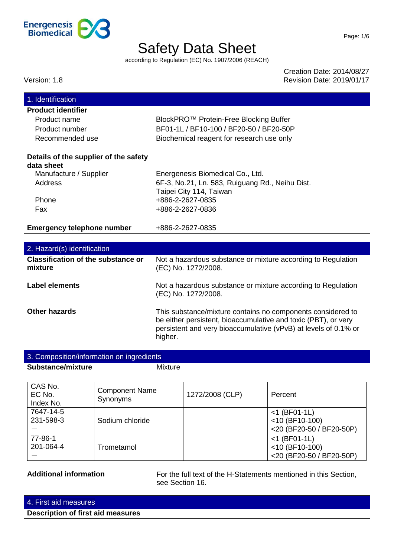

according to Regulation (EC) No. 1907/2006 (REACH)

Creation Date: 2014/08/27 Version: 1.8 Revision Date: 2019/01/17

| 1. Identification                         |                                                                 |
|-------------------------------------------|-----------------------------------------------------------------|
| <b>Product identifier</b>                 |                                                                 |
| Product name                              | BlockPRO™ Protein-Free Blocking Buffer                          |
| Product number                            | BF01-1L / BF10-100 / BF20-50 / BF20-50P                         |
| Recommended use                           | Biochemical reagent for research use only                       |
|                                           |                                                                 |
| Details of the supplier of the safety     |                                                                 |
| data sheet                                |                                                                 |
| Manufacture / Supplier                    | Energenesis Biomedical Co., Ltd.                                |
| <b>Address</b>                            | 6F-3, No.21, Ln. 583, Ruiguang Rd., Neihu Dist.                 |
|                                           | Taipei City 114, Taiwan                                         |
| Phone                                     | +886-2-2627-0835                                                |
| Fax                                       | +886-2-2627-0836                                                |
|                                           |                                                                 |
| <b>Emergency telephone number</b>         | +886-2-2627-0835                                                |
|                                           |                                                                 |
| 2. Hazard(s) identification               |                                                                 |
| <b>Classification of the substance or</b> | Not a hazardous substance or mixture according to Regulation    |
| mixture                                   | (EC) No. 1272/2008.                                             |
| <b>Label elements</b>                     | Not a hazardous substance or mixture according to Regulation    |
|                                           | (EC) No. 1272/2008.                                             |
|                                           |                                                                 |
| <b>Other hazards</b>                      | This substance/mixture contains no components considered to     |
|                                           | be either persistent, bioaccumulative and toxic (PBT), or very  |
|                                           | persistent and very bioaccumulative (vPvB) at levels of 0.1% or |

| Substance/mixture              | <b>Mixture</b>                    |                 |                                                                  |
|--------------------------------|-----------------------------------|-----------------|------------------------------------------------------------------|
| CAS No.<br>EC No.<br>Index No. | <b>Component Name</b><br>Synonyms | 1272/2008 (CLP) | Percent                                                          |
| 7647-14-5<br>231-598-3         | Sodium chloride                   |                 | $<$ 1 (BF01-1L)<br>$<$ 10 (BF10-100)<br><20 (BF20-50 / BF20-50P) |
| 77-86-1<br>201-064-4           | Trometamol                        |                 | $<$ 1 (BF01-1L)<br>$<$ 10 (BF10-100)<br><20 (BF20-50 / BF20-50P) |

see Section 16.

higher.

4. First aid measures

**Description of first aid measures**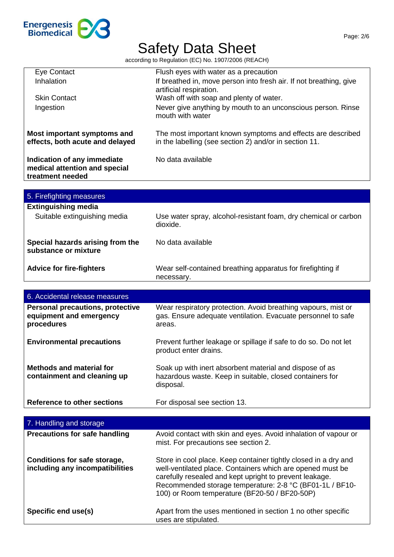

| <b>Eye Contact</b>                      | Flush eyes with water as a precaution                                  |
|-----------------------------------------|------------------------------------------------------------------------|
| Inhalation                              | If breathed in, move person into fresh air. If not breathing, give     |
|                                         | artificial respiration.                                                |
| <b>Skin Contact</b>                     | Wash off with soap and plenty of water.                                |
| Ingestion                               | Never give anything by mouth to an unconscious person. Rinse           |
|                                         | mouth with water                                                       |
|                                         |                                                                        |
| Most important symptoms and             | The most important known symptoms and effects are described            |
| effects, both acute and delayed         | in the labelling (see section 2) and/or in section 11.                 |
|                                         |                                                                        |
| Indication of any immediate             | No data available                                                      |
| medical attention and special           |                                                                        |
| treatment needed                        |                                                                        |
|                                         |                                                                        |
| 5. Firefighting measures                |                                                                        |
|                                         |                                                                        |
| <b>Extinguishing media</b>              |                                                                        |
| Suitable extinguishing media            | Use water spray, alcohol-resistant foam, dry chemical or carbon        |
|                                         | dioxide.                                                               |
|                                         |                                                                        |
| Special hazards arising from the        | No data available                                                      |
| substance or mixture                    |                                                                        |
|                                         |                                                                        |
| <b>Advice for fire-fighters</b>         | Wear self-contained breathing apparatus for firefighting if            |
|                                         | necessary.                                                             |
|                                         |                                                                        |
|                                         |                                                                        |
| 6. Accidental release measures          |                                                                        |
|                                         |                                                                        |
| <b>Personal precautions, protective</b> | Wear respiratory protection. Avoid breathing vapours, mist or          |
| equipment and emergency                 | gas. Ensure adequate ventilation. Evacuate personnel to safe<br>areas. |
| procedures                              |                                                                        |
|                                         |                                                                        |
| <b>Environmental precautions</b>        | Prevent further leakage or spillage if safe to do so. Do not let       |
|                                         | product enter drains.                                                  |
|                                         |                                                                        |
| <b>Methods and material for</b>         | Soak up with inert absorbent material and dispose of as                |
| containment and cleaning up             | hazardous waste. Keep in suitable, closed containers for               |
|                                         | disposal.                                                              |
|                                         |                                                                        |
| <b>Reference to other sections</b>      | For disposal see section 13.                                           |
|                                         |                                                                        |
| 7. Handling and storage                 |                                                                        |
| <b>Precautions for safe handling</b>    | Avoid contact with skin and eyes. Avoid inhalation of vapour or        |
|                                         | mist. For precautions see section 2.                                   |

| Conditions for safe storage,<br>including any incompatibilities | Store in cool place. Keep container tightly closed in a dry and<br>well-ventilated place. Containers which are opened must be<br>carefully resealed and kept upright to prevent leakage.<br>Recommended storage temperature: 2-8 °C (BF01-1L / BF10-<br>100) or Room temperature (BF20-50 / BF20-50P) |
|-----------------------------------------------------------------|-------------------------------------------------------------------------------------------------------------------------------------------------------------------------------------------------------------------------------------------------------------------------------------------------------|
| Specific end use(s)                                             | Apart from the uses mentioned in section 1 no other specific<br>uses are stipulated.                                                                                                                                                                                                                  |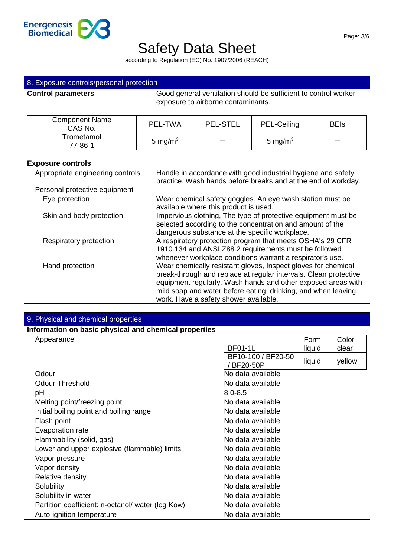

| 8. Exposure controls/personal protection |                                                                                                                                                                              |                                                                                                                                                                                                                                                                                                             |             |             |
|------------------------------------------|------------------------------------------------------------------------------------------------------------------------------------------------------------------------------|-------------------------------------------------------------------------------------------------------------------------------------------------------------------------------------------------------------------------------------------------------------------------------------------------------------|-------------|-------------|
| <b>Control parameters</b>                |                                                                                                                                                                              | Good general ventilation should be sufficient to control worker<br>exposure to airborne contaminants.                                                                                                                                                                                                       |             |             |
| <b>Component Name</b><br>CAS No.         | PEL-TWA                                                                                                                                                                      | <b>PEL-STEL</b>                                                                                                                                                                                                                                                                                             | PEL-Ceiling | <b>BEIs</b> |
| Trometamol<br>77-86-1                    | 5 mg/m $3$                                                                                                                                                                   |                                                                                                                                                                                                                                                                                                             | 5 mg/m $3$  |             |
| <b>Exposure controls</b>                 |                                                                                                                                                                              |                                                                                                                                                                                                                                                                                                             |             |             |
| Appropriate engineering controls         | Handle in accordance with good industrial hygiene and safety<br>practice. Wash hands before breaks and at the end of workday.                                                |                                                                                                                                                                                                                                                                                                             |             |             |
| Personal protective equipment            |                                                                                                                                                                              |                                                                                                                                                                                                                                                                                                             |             |             |
| Eye protection                           | Wear chemical safety goggles. An eye wash station must be<br>available where this product is used.                                                                           |                                                                                                                                                                                                                                                                                                             |             |             |
| Skin and body protection                 | Impervious clothing, The type of protective equipment must be<br>selected according to the concentration and amount of the<br>dangerous substance at the specific workplace. |                                                                                                                                                                                                                                                                                                             |             |             |
| Respiratory protection                   |                                                                                                                                                                              | A respiratory protection program that meets OSHA's 29 CFR<br>1910.134 and ANSI Z88.2 requirements must be followed<br>whenever workplace conditions warrant a respirator's use.                                                                                                                             |             |             |
| Hand protection                          |                                                                                                                                                                              | Wear chemically resistant gloves, Inspect gloves for chemical<br>break-through and replace at regular intervals. Clean protective<br>equipment regularly. Wash hands and other exposed areas with<br>mild soap and water before eating, drinking, and when leaving<br>work. Have a safety shower available. |             |             |

| 9. Physical and chemical properties                   |                                  |        |        |
|-------------------------------------------------------|----------------------------------|--------|--------|
| Information on basic physical and chemical properties |                                  |        |        |
| Appearance                                            |                                  | Form   | Color  |
|                                                       | <b>BF01-1L</b>                   | liquid | clear  |
|                                                       | BF10-100 / BF20-50<br>/ BF20-50P | liquid | yellow |
| Odour                                                 | No data available                |        |        |
| <b>Odour Threshold</b>                                | No data available                |        |        |
| рH                                                    | $8.0 - 8.5$                      |        |        |
| Melting point/freezing point                          | No data available                |        |        |
| Initial boiling point and boiling range               | No data available                |        |        |
| Flash point                                           | No data available                |        |        |
| Evaporation rate                                      | No data available                |        |        |
| Flammability (solid, gas)                             | No data available                |        |        |
| Lower and upper explosive (flammable) limits          | No data available                |        |        |
| Vapor pressure                                        | No data available                |        |        |
| Vapor density                                         | No data available                |        |        |
| Relative density                                      | No data available                |        |        |
| Solubility                                            | No data available                |        |        |
| Solubility in water                                   | No data available                |        |        |
| Partition coefficient: n-octanol/ water (log Kow)     | No data available                |        |        |
| Auto-ignition temperature                             | No data available                |        |        |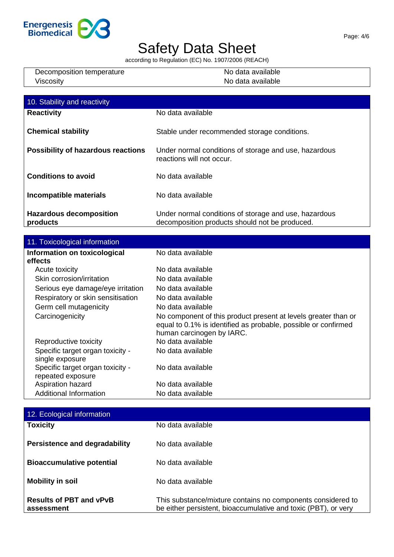

| Decomposition temperature | No data available |
|---------------------------|-------------------|
| Viscosity                 | No data available |

| 10. Stability and reactivity               |                                                                                                         |
|--------------------------------------------|---------------------------------------------------------------------------------------------------------|
| <b>Reactivity</b>                          | No data available                                                                                       |
| <b>Chemical stability</b>                  | Stable under recommended storage conditions.                                                            |
| <b>Possibility of hazardous reactions</b>  | Under normal conditions of storage and use, hazardous<br>reactions will not occur.                      |
| <b>Conditions to avoid</b>                 | No data available                                                                                       |
| Incompatible materials                     | No data available                                                                                       |
| <b>Hazardous decomposition</b><br>products | Under normal conditions of storage and use, hazardous<br>decomposition products should not be produced. |

| 11. Toxicological information                         |                                                                                                                                                               |
|-------------------------------------------------------|---------------------------------------------------------------------------------------------------------------------------------------------------------------|
| Information on toxicological                          | No data available                                                                                                                                             |
| effects                                               |                                                                                                                                                               |
| Acute toxicity                                        | No data available                                                                                                                                             |
| Skin corrosion/irritation                             | No data available                                                                                                                                             |
| Serious eye damage/eye irritation                     | No data available                                                                                                                                             |
| Respiratory or skin sensitisation                     | No data available                                                                                                                                             |
| Germ cell mutagenicity                                | No data available                                                                                                                                             |
| Carcinogenicity                                       | No component of this product present at levels greater than or<br>equal to 0.1% is identified as probable, possible or confirmed<br>human carcinogen by IARC. |
| Reproductive toxicity                                 | No data available                                                                                                                                             |
| Specific target organ toxicity -<br>single exposure   | No data available                                                                                                                                             |
| Specific target organ toxicity -<br>repeated exposure | No data available                                                                                                                                             |
| Aspiration hazard                                     | No data available                                                                                                                                             |
| <b>Additional Information</b>                         | No data available                                                                                                                                             |

| 12. Ecological information                   |                                                                                                                               |
|----------------------------------------------|-------------------------------------------------------------------------------------------------------------------------------|
| <b>Toxicity</b>                              | No data available                                                                                                             |
| <b>Persistence and degradability</b>         | No data available                                                                                                             |
| <b>Bioaccumulative potential</b>             | No data available                                                                                                             |
| <b>Mobility in soil</b>                      | No data available                                                                                                             |
| <b>Results of PBT and vPvB</b><br>assessment | This substance/mixture contains no components considered to<br>be either persistent, bioaccumulative and toxic (PBT), or very |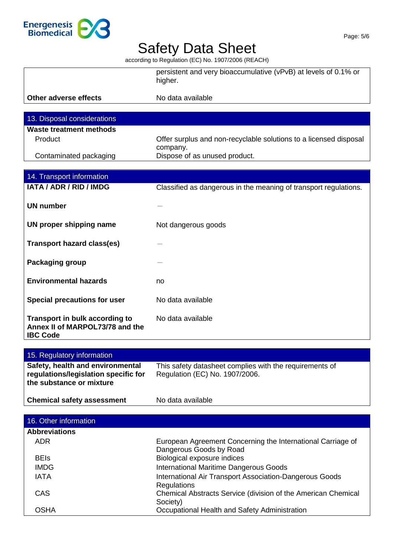

|                                                                                      | persistent and very bioaccumulative (vPvB) at levels of 0.1% or<br>higher.    |
|--------------------------------------------------------------------------------------|-------------------------------------------------------------------------------|
| Other adverse effects                                                                | No data available                                                             |
|                                                                                      |                                                                               |
| 13. Disposal considerations                                                          |                                                                               |
| Waste treatment methods                                                              |                                                                               |
| Product                                                                              | Offer surplus and non-recyclable solutions to a licensed disposal<br>company. |
| Contaminated packaging                                                               | Dispose of as unused product.                                                 |
|                                                                                      |                                                                               |
| 14. Transport information                                                            |                                                                               |
| <b>IATA / ADR / RID / IMDG</b>                                                       | Classified as dangerous in the meaning of transport regulations.              |
| <b>UN number</b>                                                                     |                                                                               |
| UN proper shipping name                                                              | Not dangerous goods                                                           |
| <b>Transport hazard class(es)</b>                                                    |                                                                               |
| Packaging group                                                                      |                                                                               |
| <b>Environmental hazards</b>                                                         | no                                                                            |
| <b>Special precautions for user</b>                                                  | No data available                                                             |
| Transport in bulk according to<br>Annex II of MARPOL73/78 and the<br><b>IBC Code</b> | No data available                                                             |

| 15. Regulatory information                                                                           |                                                                                           |
|------------------------------------------------------------------------------------------------------|-------------------------------------------------------------------------------------------|
| Safety, health and environmental<br>regulations/legislation specific for<br>the substance or mixture | This safety datasheet complies with the requirements of<br>Regulation (EC) No. 1907/2006. |
| <b>Chemical safety assessment</b>                                                                    | No data available                                                                         |
| 16. Other information                                                                                |                                                                                           |

| <b>Abbreviations</b> |                                                               |
|----------------------|---------------------------------------------------------------|
| ADR.                 | European Agreement Concerning the International Carriage of   |
|                      | Dangerous Goods by Road                                       |
| <b>BEIs</b>          | Biological exposure indices                                   |
| <b>IMDG</b>          | <b>International Maritime Dangerous Goods</b>                 |
| <b>IATA</b>          | International Air Transport Association-Dangerous Goods       |
|                      | Regulations                                                   |
| CAS.                 | Chemical Abstracts Service (division of the American Chemical |
|                      | Society)                                                      |
| OSHA                 | Occupational Health and Safety Administration                 |